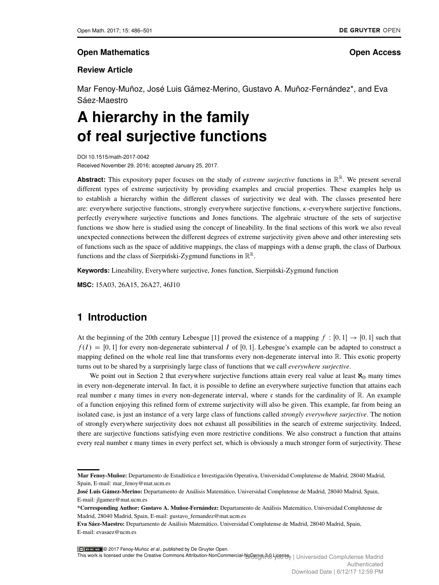#### **Open Mathematics Open Access**

#### **Review Article**

Mar Fenoy-Muñoz, José Luis Gámez-Merino, Gustavo A. Muñoz-Fernández\*, and Eva Sáez-Maestro

# **A hierarchy in the family of real surjective functions**

DOI 10.1515/math-2017-0042 Received November 29, 2016; accepted January 25, 2017.

Abstract: This expository paper focuses on the study of extreme surjective functions in  $\mathbb{R}^{\mathbb{R}}$ . We present several different types of extreme surjectivity by providing examples and crucial properties. These examples help us to establish a hierarchy within the different classes of surjectivity we deal with. The classes presented here are: everywhere surjective functions, strongly everywhere surjective functions,  $\kappa$ -everywhere surjective functions, perfectly everywhere surjective functions and Jones functions. The algebraic structure of the sets of surjective functions we show here is studied using the concept of lineability. In the final sections of this work we also reveal unexpected connections between the different degrees of extreme surjectivity given above and other interesting sets of functions such as the space of additive mappings, the class of mappings with a dense graph, the class of Darboux functions and the class of Sierpiński-Zygmund functions in  $\mathbb{R}^{\mathbb{R}}$ .

**Keywords:** Lineability, Everywhere surjective, Jones function, Sierpinski-Zygmund function

**MSC:** 15A03, 26A15, 26A27, 46J10

# **1 Introduction**

At the beginning of the 20th century Lebesgue [\[1\]](#page-14-0) proved the existence of a mapping  $f : [0, 1] \rightarrow [0, 1]$  such that  $f(I) = [0, 1]$  for every non-degenerate subinterval I of [0, 1]. Lebesgue's example can be adapted to construct a mapping defined on the whole real line that transforms every non-degenerate interval into R. This exotic property turns out to be shared by a surprisingly large class of functions that we call *everywhere surjective*.

We point out in Section [2](#page-1-0) that everywhere surjective functions attain every real value at least  $\aleph_0$  many times in every non-degenerate interval. In fact, it is possible to define an everywhere surjective function that attains each real number c many times in every non-degenerate interval, where c stands for the cardinality of  $\mathbb{R}$ . An example of a function enjoying this refined form of extreme surjectivity will also be given. This example, far from being an isolated case, is just an instance of a very large class of functions called *strongly everywhere surjective*. The notion of strongly everywhere surjectivity does not exhaust all possibilities in the search of extreme surjectivity. Indeed, there are surjective functions satisfying even more restrictive conditions. We also construct a function that attains every real number c many times in every perfect set, which is obviously a much stronger form of surjectivity. These

© 2017 Fenoy-Muñoz *et al.*, published by De Gruyter Open.

This work is licensed under the Creative Commons Attribution-NonCommercial-NoDeriyลูAiB <del>UCR</del>T%y | Universidad Complutense Madrid Authenticated Download Date | 6/12/17 12:59 PM

Mar Fenoy-Muñoz: Departamento de Estadística e Investigación Operativa, Universidad Complutense de Madrid, 28040 Madrid, Spain, E-mail: mar\_fenoy@mat.ucm.es

José Luis Gámez-Merino: Departamento de Análisis Matemático, Universidad Complutense de Madrid, 28040 Madrid, Spain, E-mail: jlgamez@mat.ucm.es

<sup>\*</sup>Corresponding Author: Gustavo A. Muñoz-Fernández: Departamento de Análisis Matemático, Universidad Complutense de Madrid, 28040 Madrid, Spain, E-mail: gustavo\_fernandez@mat.ucm.es

Eva Sáez-Maestro: Departamento de Análisis Matemático, Universidad Complutense de Madrid, 28040 Madrid, Spain, E-mail: evasaez@ucm.es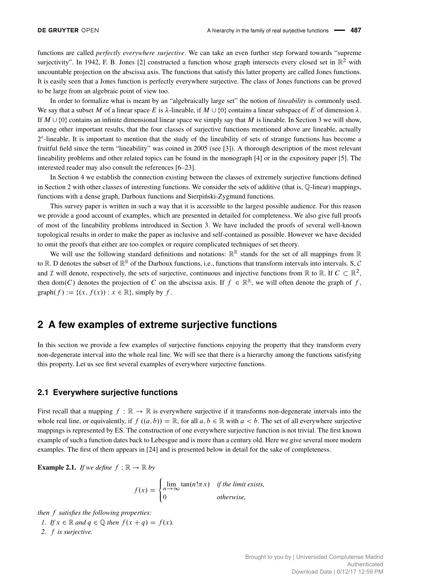functions are called *perfectly everywhere surjective*. We can take an even further step forward towards "supreme surjectivity". In 1942, F. B. Jones [\[2\]](#page-14-1) constructed a function whose graph intersects every closed set in  $\mathbb{R}^2$  with uncountable projection on the abscissa axis. The functions that satisfy this latter property are called Jones functions. It is easily seen that a Jones function is perfectly everywhere surjective. The class of Jones functions can be proved to be large from an algebraic point of view too.

In order to formalize what is meant by an "algebraically large set" the notion of *lineability* is commonly used. We say that a subset M of a linear space E is  $\lambda$ -lineable, if  $M \cup \{0\}$  contains a linear subspace of E of dimension  $\lambda$ . If  $M \cup \{0\}$  contains an infinite dimensional linear space we simply say that M is lineable. In Section [3](#page-7-0) we will show, among other important results, that the four classes of surjective functions mentioned above are lineable, actually 2<sup>c</sup>-lineable. It is important to mention that the study of the lineability of sets of strange functions has become a fruitful field since the term "lineability" was coined in 2005 (see [\[3\]](#page-15-1)). A thorough description of the most relevant lineability problems and other related topics can be found in the monograph [\[4\]](#page-15-2) or in the expository paper [\[5\]](#page-15-3). The interested reader may also consult the references [\[6–](#page-15-4)[23\]](#page-15-5).

In Section [4](#page-10-0) we establish the connection existing between the classes of extremely surjective functions defined in Section [2](#page-1-0) with other classes of interesting functions. We consider the sets of additive (that is, Q-linear) mappings, functions with a dense graph, Darboux functions and Sierpinski-Zygmund functions.

This survey paper is written in such a way that it is accessible to the largest possible audience. For this reason we provide a good account of examples, which are presented in detailed for completeness. We also give full proofs of most of the lineability problems introduced in Section [3.](#page-7-0) We have included the proofs of several well-known topological results in order to make the paper as inclusive and self-contained as possible. However we have decided to omit the proofs that either are too complex or require complicated techniques of set theory.

We will use the following standard definitions and notations:  $\mathbb{R}^{\mathbb{R}}$  stands for the set of all mappings from  $\mathbb{R}$ to R. D denotes the subset of  $\mathbb{R}^{\mathbb{R}}$  of the Darboux functions, i.e., functions that transform intervals into intervals. S, C and  $\mathcal I$  will denote, respectively, the sets of surjective, continuous and injective functions from  $\mathbb R$  to  $\mathbb R$ . If  $C \subset \mathbb R^2$ , then dom(C) denotes the projection of C on the abscissa axis. If  $f \in \mathbb{R}^{\mathbb{R}}$ , we will often denote the graph of f, graph $(f) := \{(x, f(x)) : x \in \mathbb{R}\}\text{, simply by } f.$ 

# <span id="page-1-0"></span>**2 A few examples of extreme surjective functions**

In this section we provide a few examples of surjective functions enjoying the property that they transform every non-degenerate interval into the whole real line. We will see that there is a hierarchy among the functions satisfying this property. Let us see first several examples of everywhere surjective functions.

#### **2.1 Everywhere surjective functions**

First recall that a mapping  $f : \mathbb{R} \to \mathbb{R}$  is everywhere surjective if it transforms non-degenerate intervals into the whole real line, or equivalently, if  $f((a, b)) = \mathbb{R}$ , for all  $a, b \in \mathbb{R}$  with  $a < b$ . The set of all everywhere surjective mappings is represented by ES. The construction of one everywhere surjective function is not trivial. The first known example of such a function dates back to Lebesgue and is more than a century old. Here we give several more modern examples. The first of them appears in [\[24\]](#page-15-6) and is presented below in detail for the sake of completeness.

**Example 2.1.** *If we define*  $f : \mathbb{R} \to \mathbb{R}$  *by* 

$$
f(x) = \begin{cases} \lim_{n \to \infty} \tan(n! \pi x) & \text{if the limit exists,} \\ 0 & \text{otherwise,} \end{cases}
$$

*then* f *satisfies the following properties:*

<span id="page-1-1"></span>*1. If*  $x \in \mathbb{R}$  *and*  $q \in \mathbb{Q}$  *then*  $f(x + q) = f(x)$ *. 2.* f *is surjective.*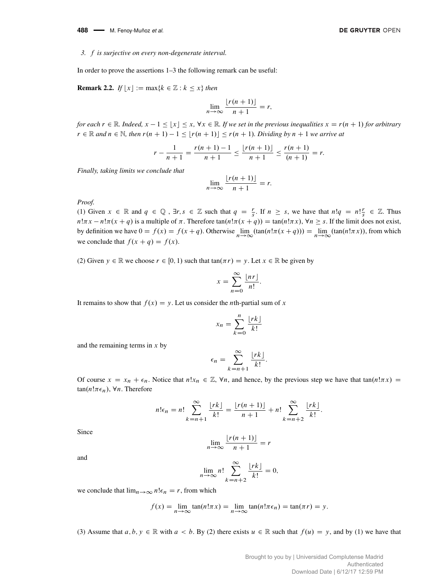488 **- M. Fenoy-Muñoz et al.** 

#### <span id="page-2-0"></span>*3.* f *is surjective on every non-degenerate interval.*

In order to prove the assertions [1](#page-1-1)[–3](#page-2-0) the following remark can be useful:

**Remark 2.2.** *If*  $|x| := max\{k \in \mathbb{Z} : k \leq x\}$  *then* 

$$
\lim_{n \to \infty} \frac{\lfloor r(n+1) \rfloor}{n+1} = r,
$$

*for each*  $r \in \mathbb{R}$ *. Indeed,*  $x - 1 < |x| < x$ ,  $\forall x \in \mathbb{R}$ *. If we set in the previous inequalities*  $x = r(n + 1)$  *for arbitrary*  $r \in \mathbb{R}$  and  $n \in \mathbb{N}$ , then  $r(n + 1) - 1 \le |r(n + 1)| \le r(n + 1)$ . Dividing by  $n + 1$  we arrive at

$$
r - \frac{1}{n+1} = \frac{r(n+1) - 1}{n+1} \le \frac{\lfloor r(n+1) \rfloor}{n+1} \le \frac{r(n+1)}{(n+1)} = r.
$$

*Finally, taking limits we conclude that*

$$
\lim_{n \to \infty} \frac{\lfloor r(n+1) \rfloor}{n+1} = r.
$$

*Proof.*

(1) Given  $x \in \mathbb{R}$  and  $q \in \mathbb{Q}$ ,  $\exists r, s \in \mathbb{Z}$  such that  $q = \frac{r}{s}$ . If  $n \geq s$ , we have that  $n!q = n! \frac{r}{s} \in \mathbb{Z}$ . Thus  $n!\pi x - n!\pi(x + q)$  is a multiple of  $\pi$ . Therefore tan $(n!\pi(x + q)) = \tan(n!\pi x)$ ,  $\forall n \geq s$ . If the limit does not exist, by definition we have  $0 = f(x) = f(x + q)$ . Otherwise  $\lim_{n \to \infty} (\tan(n! \pi (x + q))) = \lim_{n \to \infty} (\tan(n! \pi x))$ , from which we conclude that  $f(x + q) = f(x)$ .

(2) Given  $y \in \mathbb{R}$  we choose  $r \in [0, 1)$  such that tan $(\pi r) = y$ . Let  $x \in \mathbb{R}$  be given by

$$
x = \sum_{n=0}^{\infty} \frac{\lfloor nr \rfloor}{n!}.
$$

It remains to show that  $f(x) = y$ . Let us consider the *n*th-partial sum of x

$$
x_n = \sum_{k=0}^n \frac{\lfloor rk \rfloor}{k!}
$$

and the remaining terms in  $x$  by

$$
\epsilon_n = \sum_{k=n+1}^{\infty} \frac{\lfloor rk \rfloor}{k!}.
$$

Of course  $x = x_n + \epsilon_n$ . Notice that  $n!x_n \in \mathbb{Z}$ ,  $\forall n$ , and hence, by the previous step we have that tan $(n!\pi x)$  $tan(n!\pi\epsilon_n), \forall n$ . Therefore

$$
n!\epsilon_n = n! \sum_{k=n+1}^{\infty} \frac{\lfloor rk \rfloor}{k!} = \frac{\lfloor r(n+1) \rfloor}{n+1} + n! \sum_{k=n+2}^{\infty} \frac{\lfloor rk \rfloor}{k!}.
$$

Since

$$
\lim_{n \to \infty} \frac{\lfloor r(n+1) \rfloor}{n+1} = r
$$

and

$$
\lim_{n \to \infty} n! \sum_{k=n+2}^{\infty} \frac{\lfloor rk \rfloor}{k!} = 0,
$$

we conclude that  $\lim_{n\to\infty} n! \epsilon_n = r$ , from which

$$
f(x) = \lim_{n \to \infty} \tan(n! \pi x) = \lim_{n \to \infty} \tan(n! \pi \epsilon_n) = \tan(\pi r) = y.
$$

(3) Assume that  $a, b, y \in \mathbb{R}$  with  $a < b$ . By (2) there exists  $u \in \mathbb{R}$  such that  $f(u) = y$ , and by (1) we have that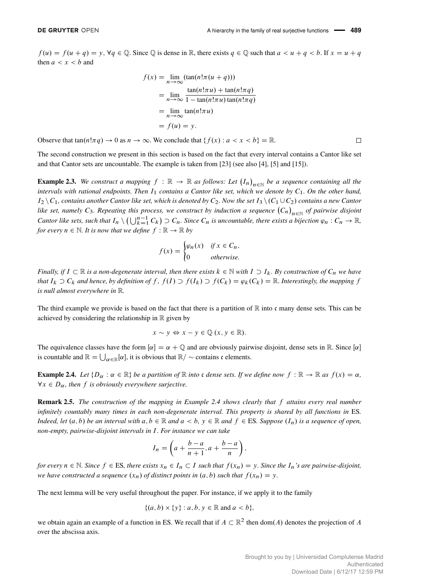$f(u) = f(u + q) = y$ ,  $\forall q \in \mathbb{Q}$ . Since  $\mathbb{Q}$  is dense in  $\mathbb{R}$ , there exists  $q \in \mathbb{Q}$  such that  $a < u + q < b$ . If  $x = u + q$ then  $a < x < b$  and

$$
f(x) = \lim_{n \to \infty} (\tan(n!\pi(u+q)))
$$
  
= 
$$
\lim_{n \to \infty} \frac{\tan(n!\pi u) + \tan(n!\pi q)}{1 - \tan(n!\pi u) \tan(n!\pi q)}
$$
  
= 
$$
\lim_{n \to \infty} \tan(n!\pi u)
$$
  
= 
$$
f(u) = y.
$$

Observe that  $tan(n!\pi q) \to 0$  as  $n \to \infty$ . We conclude that  $\{f(x) : a < x < b\} = \mathbb{R}$ .

The second construction we present in this section is based on the fact that every interval contains a Cantor like set and that Cantor sets are uncountable. The example is taken from [\[23\]](#page-15-5) (see also [\[4\]](#page-15-2), [\[5\]](#page-15-3) and [\[15\]](#page-15-7)).

<span id="page-3-1"></span>**Example 2.3.** We construct a mapping  $f : \mathbb{R} \to \mathbb{R}$  as follows: Let  $(I_n)_{n \in \mathbb{N}}$  be a sequence containing all the intervals with rational endpoints. Then I<sub>1</sub> contains a Cantor like set, which we denote by C<sub>1</sub>. On the other hand,  $I_2 \setminus C_1$ , contains another Cantor like set, which is denoted by  $C_2$ . Now the set  $I_3 \setminus (C_1 \cup C_2)$  contains a new Cantor like set, namely C<sub>3</sub>. Repeating this process, we construct by induction a sequence  $(C_n)_{n\in\mathbb{N}}$  of pairwise disjoint *Cantor like sets, such that*  $I_n \setminus (\bigcup_{k=1}^{n-1} C_k) \supset C_n$ . Since  $C_n$  is uncountable, there exists a bijection  $\varphi_n : C_n \to \mathbb{R}$ , *for every*  $n \in \mathbb{N}$ *. It is now that we define*  $f : \mathbb{R} \to \mathbb{R}$  by

$$
f(x) = \begin{cases} \varphi_n(x) & \text{if } x \in C_n, \\ 0 & \text{otherwise.} \end{cases}
$$

*Finally, if*  $I \subset \mathbb{R}$  *is a non-degenerate interval, then there exists*  $k \in \mathbb{N}$  *with*  $I \supset I_k$ *. By construction of*  $C_n$  *we have that*  $I_k \supset C_k$  *and hence, by definition of*  $f$ ,  $f(I) \supset f(I_k) \supset f(C_k) = \varphi_k(C_k) = \mathbb{R}$ . *Interestingly, the mapping*  $f$ *is null almost everywhere in* R*.*

The third example we provide is based on the fact that there is a partition of  $\mathbb R$  into c many dense sets. This can be achieved by considering the relationship in  $\mathbb R$  given by

$$
x \sim y \Leftrightarrow x - y \in \mathbb{Q} \ (x, y \in \mathbb{R}).
$$

The equivalence classes have the form  $[\alpha] = \alpha + \mathbb{Q}$  and are obviously pairwise disjoint, dense sets in R. Since  $[\alpha]$ is countable and  $\mathbb{R} = \bigcup_{\alpha \in \mathbb{R}} [\alpha]$ , it is obvious that  $\mathbb{R}/\sim$  contains c elements.

<span id="page-3-0"></span>**Example 2.4.** Let  $\{D_{\alpha} : \alpha \in \mathbb{R}\}$  be a partition of  $\mathbb{R}$  *into* c dense sets. If we define now  $f : \mathbb{R} \to \mathbb{R}$  as  $f(x) = \alpha$ ,  $\forall x \in D_{\alpha}$ , then f *is obviously everywhere surjective*.

Remark 2.5. *The construction of the mapping in Example [2.4](#page-3-0) shows clearly that* f *attains every real number infinitely countably many times in each non-degenerate interval. This property is shared by all functions in* ES*. Indeed, let*  $(a, b)$  *be an interval with*  $a, b \in \mathbb{R}$  *and*  $a < b$ ,  $y \in \mathbb{R}$  *and*  $f \in ES$ *. Suppose*  $(I_n)$  *is a sequence of open, non-empty, pairwise-disjoint intervals in* I *. For instance we can take*

$$
I_n = \left(a + \frac{b-a}{n+1}, a + \frac{b-a}{n}\right),
$$

*for every*  $n \in \mathbb{N}$ *. Since*  $f \in ES$ *, there exists*  $x_n \in I_n \subset I$  *such that*  $f(x_n) = y$ *. Since the*  $I_n$ *'s are pairwise-disjoint, we have constructed a sequence*  $(x_n)$  *of distinct points in*  $(a, b)$  *such that*  $f(x_n) = y$ .

The next lemma will be very useful throughout the paper. For instance, if we apply it to the family

$$
\{(a,b)\times\{y\}:a,b,y\in\mathbb{R}\text{ and }a
$$

we obtain again an example of a function in ES. We recall that if  $A \subset \mathbb{R}^2$  then dom(A) denotes the projection of A over the abscissa axis.

 $\Box$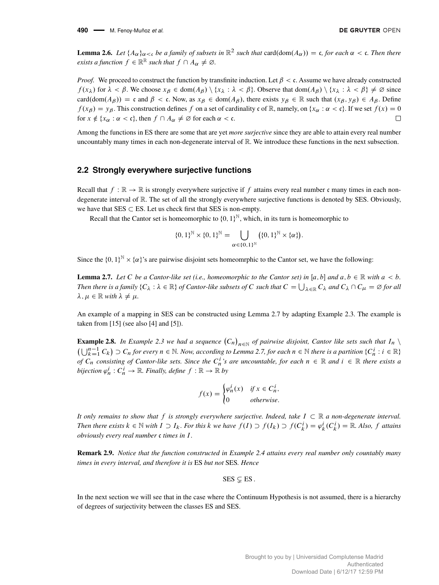**490** M. Fenoy-Muñoz *et al.*

<span id="page-4-2"></span>**Lemma 2.6.** Let  $\{A_\alpha\}_{\alpha<\mathfrak{c}}$  be a family of subsets in  $\mathbb{R}^2$  such that  $\text{card}(\text{dom}(A_\alpha))=\mathfrak{c}$ , for each  $\alpha<\mathfrak{c}$ . Then there *exists a function*  $f \in \mathbb{R}^{\mathbb{R}}$  *such that*  $f \cap A_{\alpha} \neq \emptyset$ .

*Proof.* We proceed to construct the function by transfinite induction. Let  $\beta < c$ . Assume we have already constructed  $f(x_\lambda)$  for  $\lambda < \beta$ . We choose  $x_\beta \in \text{dom}(A_\beta) \setminus \{x_\lambda : \lambda < \beta\}$ . Observe that  $\text{dom}(A_\beta) \setminus \{x_\lambda : \lambda < \beta\} \neq \emptyset$  since  $card(dom(A<sub>\beta</sub>)) = c$  and  $\beta < c$ . Now, as  $x_{\beta} \in dom(A_{\beta})$ , there exists  $y_{\beta} \in \mathbb{R}$  such that  $(x_{\beta}, y_{\beta}) \in A_{\beta}$ . Define  $f(x_\beta) = y_\beta$ . This construction defines f on a set of cardinality c of R, namely, on  $\{x_\alpha : \alpha < \mathfrak{c}\}\)$ . If we set  $f(x) = 0$ for  $x \notin \{x_\alpha : \alpha < \mathfrak{c}\}\)$ , then  $f \cap A_\alpha \neq \emptyset$  for each  $\alpha < \mathfrak{c}\$ . П

Among the functions in ES there are some that are yet *more surjective* since they are able to attain every real number uncountably many times in each non-degenerate interval of R. We introduce these functions in the next subsection.

#### **2.2 Strongly everywhere surjective functions**

Recall that  $f : \mathbb{R} \to \mathbb{R}$  is strongly everywhere surjective if f attains every real number c many times in each nondegenerate interval of R. The set of all the strongly everywhere surjective functions is denoted by SES. Obviously, we have that  $SES \subset ES$ . Let us check first that SES is non-empty.

Recall that the Cantor set is homeomorphic to  $\{0, 1\}^{\mathbb{N}}$ , which, in its turn is homeomorphic to

$$
\{0,1\}^{\mathbb{N}} \times \{0,1\}^{\mathbb{N}} = \bigcup_{\alpha \in \{0,1\}^{\mathbb{N}}} (\{0,1\}^{\mathbb{N}} \times \{\alpha\}).
$$

Since the  $\{0, 1\}^{\mathbb{N}} \times \{\alpha\}$ 's are pairwise disjoint sets homeomrphic to the Cantor set, we have the following:

<span id="page-4-0"></span>**Lemma 2.7.** Let C be a Cantor-like set (i.e., homeomorphic to the Cantor set) in [a, b] and  $a, b \in \mathbb{R}$  with  $a < b$ . Then there is a family  $\{C_\lambda:\lambda\in\mathbb R\}$  of Cantor-like subsets of  $C$  such that  $C=\bigcup_{\lambda\in\mathbb R}C_\lambda$  and  $C_\lambda\cap C_\mu=\varnothing$  for all  $\lambda, \mu \in \mathbb{R}$  *with*  $\lambda \neq \mu$ .

An example of a mapping in SES can be constructed using Lemma [2.7](#page-4-0) by adapting Example [2.3.](#page-3-1) The example is taken from [\[15\]](#page-15-7) (see also [\[4\]](#page-15-2) and [\[5\]](#page-15-3)).

<span id="page-4-1"></span>**Example 2.8.** In Example [2.3](#page-3-1) we had a sequence  $(C_n)_{n \in \mathbb{N}}$  of pairwise disjoint, Cantor like sets such that  $I_n \setminus I$  $\left(\bigcup_{k=1}^{n-1} C_k\right) \supset C_n$  for every  $n \in \mathbb{N}$ . Now, according to Lemma [2.7,](#page-4-0) for each  $n \in \mathbb{N}$  there is a partition  $\{C_n^i : i \in \mathbb{R}\}$ *of*  $C_n$  consisting of Cantor-like sets. Since the  $C_n^i$ 's are uncountable, for each  $n \in \mathbb{R}$  and  $i \in \mathbb{R}$  there exists a  $bijection \varphi_n^i : C_n^i \to \mathbb{R}$ . Finally, define  $f : \mathbb{R} \to \mathbb{R}$  by

$$
f(x) = \begin{cases} \varphi_n^i(x) & \text{if } x \in C_n^i, \\ 0 & \text{otherwise.} \end{cases}
$$

It only remains to show that f is strongly everywhere surjective. Indeed, take  $I \subset \mathbb{R}$  a non-degenerate interval. *Then there exists*  $k \in \mathbb{N}$  *with*  $I \supset I_k$ *. For this*  $k$  *we have*  $f(I) \supset f(I_k) \supset f(C_k^i) = \varphi_k^i(C_k^i) = \mathbb{R}$ *. Also,*  $f$  *attains obviously every real number* c *times in* I *.*

Remark 2.9. *Notice that the function constructed in Example [2.4](#page-3-0) attains every real number only countably many times in every interval, and therefore it is* ES *but not* SES*. Hence*

 $SES \subset F$  ES.

In the next section we will see that in the case where the Continuum Hypothesis is not assumed, there is a hierarchy of degrees of surjectivity between the classes ES and SES.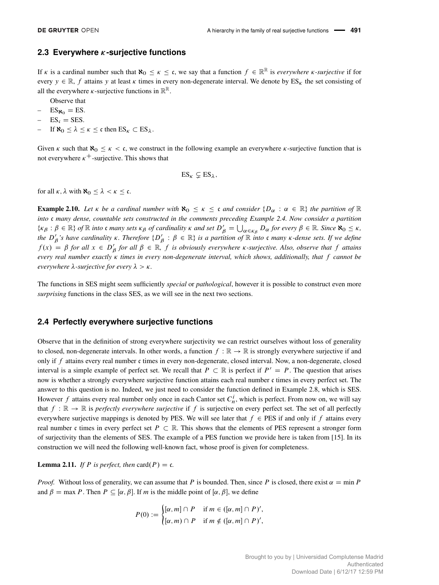#### **2.3 Everywhere -surjective functions**

If  $\kappa$  is a cardinal number such that  $\aleph_0 \leq \kappa \leq \mathfrak{c}$ , we say that a function  $f \in \mathbb{R}^{\mathbb{R}}$  is *everywhere*  $\kappa$ -surjective if for every  $y \in \mathbb{R}$ , f attains y at least  $\kappa$  times in every non-degenerate interval. We denote by  $ES_{\kappa}$  the set consisting of all the everywhere  $\kappa$ -surjective functions in  $\mathbb{R}^{\mathbb{R}}$ .

Observe that

- $ES_{\aleph_0} = ES$ .
- $ES_c = SES$ .
- If  $\aleph_0 < \lambda < \kappa < c$  then  $ES_{\kappa} \subset ES_{\lambda}$ .

Given  $\kappa$  such that  $\aleph_0 \leq \kappa < c$ , we construct in the following example an everywhere  $\kappa$ -surjective function that is not everywhere  $\kappa^+$ -surjective. This shows that

$$
ES_{\kappa} \subsetneq ES_{\lambda},
$$

for all  $\kappa$ ,  $\lambda$  with  $\aleph_0 \leq \lambda < \kappa \leq \mathfrak{c}$ .

**Example 2.10.** Let  $\kappa$  be a cardinal number with  $\aleph_0 \leq \kappa \leq c$  and consider  $\{D_\alpha : \alpha \in \mathbb{R}\}\)$  the partition of  $\mathbb{R}$ *into* c *many dense, countable sets constructed in the comments preceding Example [2.4.](#page-3-0) Now consider a partition*  $\{\kappa_\beta : \beta \in \mathbb{R}\}\$  of  $\mathbb R$  *into* c *many sets*  $\kappa_\beta$  of cardinality  $\kappa$  and set  $D'_\beta = \bigcup_{\alpha \in \kappa_\beta} D_\alpha$  for every  $\beta \in \mathbb{R}\$ . Since  $\aleph_0 \leq \kappa$ , the  $D'_\beta$ 's have cardinality  $\kappa$ . Therefore  $\{D'_\beta:\beta\in\mathbb{R}\}$  is a partition of  $\mathbb R$  into  $\mathfrak c$  many  $\kappa$ -dense sets. If we define  $f(x) = \beta$  for all  $x \in D'_\beta$  for all  $\beta \in \mathbb{R}$ , f is obviously everywhere *k*-surjective. Also, observe that f attains *every real number exactly times in every non-degenerate interval, which shows, additionally, that* f *cannot be everywhere*  $\lambda$ -*surjective for every*  $\lambda > \kappa$ .

The functions in SES might seem sufficiently *special* or *pathological*, however it is possible to construct even more *surprising* functions in the class SES, as we will see in the next two sections.

#### **2.4 Perfectly everywhere surjective functions**

Observe that in the definition of strong everywhere surjectivity we can restrict ourselves without loss of generality to closed, non-degenerate intervals. In other words, a function  $f : \mathbb{R} \to \mathbb{R}$  is strongly everywhere surjective if and only if  $f$  attains every real number  $\mathfrak c$  times in every non-degenerate, closed interval. Now, a non-degenerate, closed interval is a simple example of perfect set. We recall that  $P \subset \mathbb{R}$  is perfect if  $P' = P$ . The question that arises now is whether a strongly everywhere surjective function attains each real number c times in every perfect set. The answer to this question is no. Indeed, we just need to consider the function defined in Example [2.8,](#page-4-1) which is SES. However f attains every real number only once in each Cantor set  $C_n^i$ , which is perfect. From now on, we will say that  $f : \mathbb{R} \to \mathbb{R}$  is *perfectly everywhere surjective* if f is surjective on every perfect set. The set of all perfectly everywhere surjective mappings is denoted by PES. We will see later that  $f \in PES$  if and only if f attains every real number c times in every perfect set  $P \subset \mathbb{R}$ . This shows that the elements of PES represent a stronger form of surjectivity than the elements of SES. The example of a PES function we provide here is taken from [\[15\]](#page-15-7). In its construction we will need the following well-known fact, whose proof is given for completeness.

**Lemma 2.11.** *If P is perfect, then* card $(P) = c$ *.* 

*Proof.* Without loss of generality, we can assume that P is bounded. Then, since P is closed, there exist  $\alpha = \min P$ and  $\beta = \max P$ . Then  $P \subseteq [\alpha, \beta]$ . If m is the middle point of  $[\alpha, \beta]$ , we define

$$
P(0) := \begin{cases} [\alpha, m] \cap P & \text{if } m \in ([\alpha, m] \cap P)', \\ [\alpha, m] \cap P & \text{if } m \notin ([\alpha, m] \cap P)', \end{cases}
$$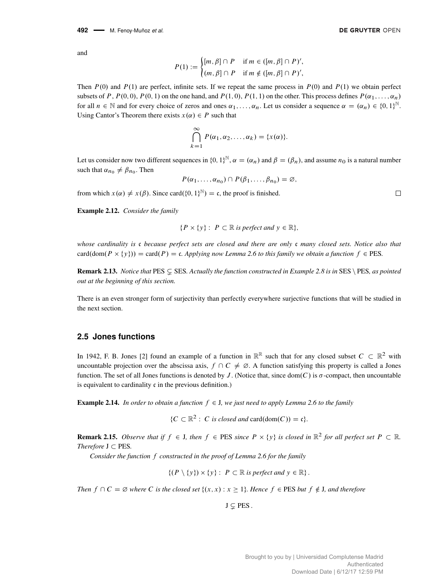and

$$
P(1) := \begin{cases} [m, \beta] \cap P & \text{if } m \in ([m, \beta] \cap P)', \\ (m, \beta] \cap P & \text{if } m \notin ([m, \beta] \cap P)', \end{cases}
$$

Then  $P(0)$  and  $P(1)$  are perfect, infinite sets. If we repeat the same process in  $P(0)$  and  $P(1)$  we obtain perfect subsets of P,  $P(0,0)$ ,  $P(0,1)$  on the one hand, and  $P(1,0)$ ,  $P(1,1)$  on the other. This process defines  $P(\alpha_1,\ldots,\alpha_n)$ for all  $n \in \mathbb{N}$  and for every choice of zeros and ones  $\alpha_1, \ldots, \alpha_n$ . Let us consider a sequence  $\alpha = (\alpha_n) \in \{0, 1\}^{\mathbb{N}}$ . Using Cantor's Theorem there exists  $x(\alpha) \in P$  such that

$$
\bigcap_{k=1}^{\infty} P(\alpha_1, \alpha_2, \dots, \alpha_k) = \{x(\alpha)\}.
$$

Let us consider now two different sequences in  $\{0, 1\}^{\mathbb{N}}, \alpha = (\alpha_n)$  and  $\beta = (\beta_n)$ , and assume  $n_0$  is a natural number such that  $\alpha_{n_0} \neq \beta_{n_0}$ . Then

$$
P(\alpha_1,\ldots,\alpha_{n_0})\cap P(\beta_1,\ldots,\beta_{n_0})=\varnothing,
$$

from which  $x(\alpha) \neq x(\beta)$ . Since card $(\{0, 1\}^{\mathbb{N}}) = \mathfrak{c}$ , the proof is finished.

Example 2.12. *Consider the family*

$$
\{P \times \{y\} : P \subset \mathbb{R} \text{ is perfect and } y \in \mathbb{R}\},\
$$

*whose cardinality is* c *because perfect sets are closed and there are only* c *many closed sets. Notice also that*  $card(dom(P \times \{y\})) = card(P) = c$ . Applying now Lemma [2.6](#page-4-2) to this family we obtain a function  $f \in PES$ .

**Remark 2.13.** *Notice that*  $\text{PES} \subseteq \text{SES}$ *. Actually the function constructed in Example* [2.8](#page-4-1) *is in*  $\text{SES} \setminus \text{PES}$ *, as pointed out at the beginning of this section.*

There is an even stronger form of surjectivity than perfectly everywhere surjective functions that will be studied in the next section.

#### **2.5 Jones functions**

In 1942, F. B. Jones [\[2\]](#page-14-1) found an example of a function in  $\mathbb{R}^{\mathbb{R}}$  such that for any closed subset  $C \subset \mathbb{R}^2$  with uncountable projection over the abscissa axis,  $f \cap C \neq \emptyset$ . A function satisfying this property is called a Jones function. The set of all Jones functions is denoted by J. (Notice that, since dom $(C)$  is  $\sigma$ -compact, then uncountable is equivalent to cardinality  $\mathfrak c$  in the previous definition.)

**Example 2.14.** *In order to obtain a function*  $f \in J$ *, we just need to apply Lemma [2.6](#page-4-2) to the family* 

 ${C \subset \mathbb{R}^2 : C \text{ is closed and } \text{card}(\text{dom}(C)) = \mathfrak{c}}.$ 

**Remark 2.15.** Observe that if  $f \in J$ , then  $f \in PES$  since  $P \times \{y\}$  is closed in  $\mathbb{R}^2$  for all perfect set  $P \subset \mathbb{R}$ . *Therefore*  $J \subset PES$ *.* 

*Consider the function* f *constructed in the proof of Lemma [2.6](#page-4-2) for the family*

 $\{(P \setminus \{y\}) \times \{y\} : P \subset \mathbb{R} \text{ is perfect and } y \in \mathbb{R}\}.$ 

*Then*  $f \cap C = \emptyset$  where C is the closed set  $\{(x, x) : x \ge 1\}$ . Hence  $f \in PES$  but  $f \notin J$ , and therefore

 $J \subsetneq PES$ .

 $\Box$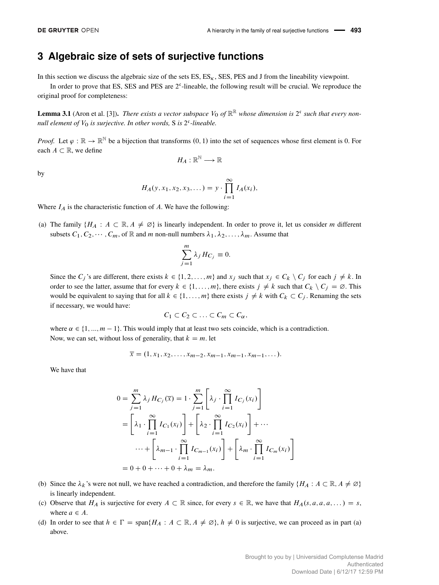## <span id="page-7-0"></span>**3 Algebraic size of sets of surjective functions**

In this section we discuss the algebraic size of the sets  $ES$ ,  $ES<sub>k</sub>$ ,  $SES$ ,  $DES$  and J from the lineability viewpoint.

In order to prove that ES, SES and PES are  $2<sup>c</sup>$ -lineable, the following result will be crucial. We reproduce the original proof for completeness:

<span id="page-7-1"></span>**Lemma 3.1** (Aron et al. [\[3\]](#page-15-1)). *There exists a vector subspace*  $V_0$  of  $\mathbb{R}^R$  whose dimension is  $2^c$  such that every nonnull element of  $V_0$  is surjective. In other words, S is  $2<sup>c</sup>$ -lineable.

*Proof.* Let  $\varphi : \mathbb{R} \to \mathbb{R}^N$  be a bijection that transforms  $(0, 1)$  into the set of sequences whose first element is 0. For each  $A \subset \mathbb{R}$ , we define

$$
H_A:\mathbb{R}^{\mathbb{N}}\longrightarrow \mathbb{R}
$$

by

$$
H_A(y, x_1, x_2, x_3, \dots) = y \cdot \prod_{i=1}^{\infty} I_A(x_i),
$$

Where  $I_A$  is the characteristic function of A. We have the following:

(a) The family  $\{H_A : A \subset \mathbb{R}, A \neq \emptyset\}$  is linearly independent. In order to prove it, let us consider m different subsets  $C_1, C_2, \dots, C_m$ , of R and m non-null numbers  $\lambda_1, \lambda_2, \dots, \lambda_m$ . Assume that

$$
\sum_{j=1}^{m} \lambda_j H_{C_j} \equiv 0.
$$

Since the  $C_j$ 's are different, there exists  $k \in \{1, 2, ..., m\}$  and  $x_j$  such that  $x_j \in C_k \setminus C_j$  for each  $j \neq k$ . In order to see the latter, assume that for every  $k \in \{1, ..., m\}$ , there exists  $j \neq k$  such that  $C_k \setminus C_j = \emptyset$ . This would be equivalent to saying that for all  $k \in \{1, ..., m\}$  there exists  $j \neq k$  with  $C_k \subset C_j$ . Renaming the sets if necessary, we would have:

$$
C_1\subset C_2\subset\ldots\subset C_m\subset C_\alpha,
$$

where  $\alpha \in \{1, ..., m-1\}$ . This would imply that at least two sets coincide, which is a contradiction. Now, we can set, without loss of generality, that  $k = m$ . let

$$
\overline{x} = (1, x_1, x_2, \dots, x_{m-2}, x_{m-1}, x_{m-1}, x_{m-1}, \dots).
$$

We have that

$$
0 = \sum_{j=1}^{m} \lambda_j H_{C_j}(\overline{x}) = 1 \cdot \sum_{j=1}^{m} \left[ \lambda_j \cdot \prod_{i=1}^{\infty} I_{C_j}(x_i) \right]
$$
  
= 
$$
\left[ \lambda_1 \cdot \prod_{i=1}^{\infty} I_{C_1}(x_i) \right] + \left[ \lambda_2 \cdot \prod_{i=1}^{\infty} I_{C_2}(x_i) \right] + \cdots
$$
  

$$
\cdots + \left[ \lambda_{m-1} \cdot \prod_{i=1}^{\infty} I_{C_{m-1}}(x_i) \right] + \left[ \lambda_m \cdot \prod_{i=1}^{\infty} I_{C_m}(x_i) \right]
$$
  
= 0 + 0 + \cdots + 0 + \lambda\_m = \lambda\_m.

- (b) Since the  $\lambda_k$ 's were not null, we have reached a contradiction, and therefore the family  $\{H_A : A \subset \mathbb{R}, A \neq \emptyset\}$ is linearly independent.
- (c) Observe that  $H_A$  is surjective for every  $A \subset \mathbb{R}$  since, for every  $s \in \mathbb{R}$ , we have that  $H_A(s, a, a, a, ...) = s$ , where  $a \in A$ .
- (d) In order to see that  $h \in \Gamma = \text{span}\{H_A : A \subset \mathbb{R}, A \neq \emptyset\}$ ,  $h \neq 0$  is surjective, we can proceed as in part (a) above.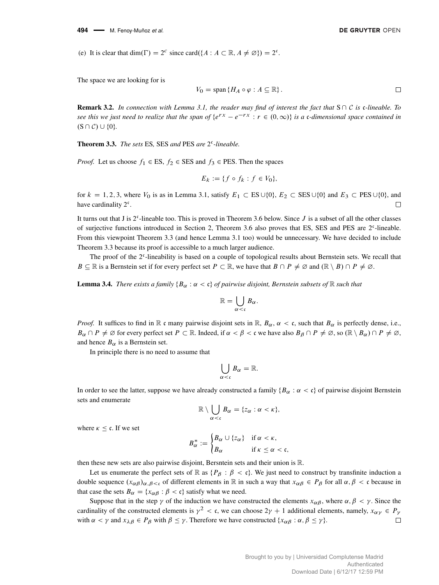(e) It is clear that dim( $\Gamma$ ) =  $2^c$  since card({ $A : A \subset \mathbb{R}, A \neq \emptyset$ }) =  $2^c$ .

The space we are looking for is

$$
V_0 = \text{span} \{ H_A \circ \varphi : A \subseteq \mathbb{R} \}.
$$

**Remark 3.2.** In connection with Lemma [3.1,](#page-7-1) the reader may find of interest the fact that  $S \cap C$  is c-lineable. To see this we just need to realize that the span of  $\{e^{rx} - e^{-rx} : r \in (0,\infty)\}$  is a c-dimensional space contained in  $(S \cap C) \cup \{0\}.$ 

<span id="page-8-0"></span>Theorem 3.3. *The sets* ES*,* SES *and* PES *are* 2 c *-lineable.*

*Proof.* Let us choose  $f_1 \in ES$ ,  $f_2 \in SES$  and  $f_3 \in PES$ . Then the spaces

$$
E_k := \{ f \circ f_k : f \in V_0 \},
$$

for  $k = 1, 2, 3$ , where  $V_0$  is as in Lemma [3.1,](#page-7-1) satisfy  $E_1 \subset ES \cup \{0\}$ ,  $E_2 \subset SES \cup \{0\}$  and  $E_3 \subset PES \cup \{0\}$ , and have cardinality  $2^{\mathfrak{c}}$ .  $\Box$ 

It turns out that J is  $2^c$ -lineable too. This is proved in Theorem [3.6](#page-9-0) below. Since J is a subset of all the other classes of surjective functions introduced in Section [2,](#page-1-0) Theorem [3.6](#page-9-0) also proves that ES, SES and PES are 2<sup>c</sup>-lineable. From this viewpoint Theorem [3.3](#page-8-0) (and hence Lemma [3.1](#page-7-1) too) would be unnecessary. We have decided to include Theorem [3.3](#page-8-0) because its proof is accessible to a much larger audience.

The proof of the 2<sup>c</sup>-lineability is based on a couple of topological results about Bernstein sets. We recall that  $B \subseteq \mathbb{R}$  is a Bernstein set if for every perfect set  $P \subset \mathbb{R}$ , we have that  $B \cap P \neq \emptyset$  and  $(\mathbb{R} \setminus B) \cap P \neq \emptyset$ .

<span id="page-8-1"></span>**Lemma 3.4.** *There exists a family*  ${B_\alpha : \alpha < \mathfrak{c}}$  *of pairwise disjoint, Bernstein subsets of*  $\mathbb R$  *such that* 

$$
\mathbb{R}=\bigcup_{\alpha<\mathfrak{c}}B_{\alpha}.
$$

*Proof.* It suffices to find in  $\mathbb R$  c many pairwise disjoint sets in  $\mathbb R$ ,  $B_\alpha$ ,  $\alpha < c$ , such that  $B_\alpha$  is perfectly dense, i.e.,  $B_{\alpha} \cap P \neq \emptyset$  for every perfect set  $P \subset \mathbb{R}$ . Indeed, if  $\alpha < \beta < \mathfrak{c}$  we have also  $B_{\beta} \cap P \neq \emptyset$ , so  $(\mathbb{R} \setminus B_{\alpha}) \cap P \neq \emptyset$ , and hence  $B_{\alpha}$  is a Bernstein set.

In principle there is no need to assume that

$$
\bigcup_{\alpha<\mathfrak{c}}B_{\alpha}=\mathbb{R}.
$$

In order to see the latter, suppose we have already constructed a family  ${B_\alpha : \alpha < c}$  of pairwise disjoint Bernstein sets and enumerate

$$
\mathbb{R}\setminus \bigcup_{\alpha<\mathfrak{c}} B_{\alpha}=\{z_{\alpha}:\alpha<\kappa\},\
$$

where  $\kappa \leq \mathfrak{c}$ . If we set

$$
B_{\alpha}^* := \begin{cases} B_{\alpha} \cup \{z_{\alpha}\} & \text{if } \alpha < \kappa, \\ B_{\alpha} & \text{if } \kappa \leq \alpha < \mathfrak{c}, \end{cases}
$$

then these new sets are also pairwise disjoint, Bersntein sets and their union is R.

Let us enumerate the perfect sets of R as  $\{P_\beta : \beta < \mathfrak{c}\}\$ . We just need to construct by transfinite induction a double sequence  $(x_{\alpha\beta})_{\alpha,\beta<\epsilon}$  of different elements in R in such a way that  $x_{\alpha\beta} \in P_\beta$  for all  $\alpha, \beta < \epsilon$  because in that case the sets  $B_{\alpha} = \{x_{\alpha\beta} : \beta < \mathfrak{c}\}\$  satisfy what we need.

Suppose that in the step  $\gamma$  of the induction we have constructed the elements  $x_{\alpha\beta}$ , where  $\alpha, \beta < \gamma$ . Since the cardinality of the constructed elements is  $\gamma^2 < c$ , we can choose  $2\gamma + 1$  additional elements, namely,  $x_{\alpha\gamma} \in P_\gamma$ with  $\alpha < \gamma$  and  $x_{\lambda\beta} \in P_{\beta}$  with  $\beta \leq \gamma$ . Therefore we have constructed  $\{x_{\alpha\beta} : \alpha, \beta \leq \gamma\}$ . П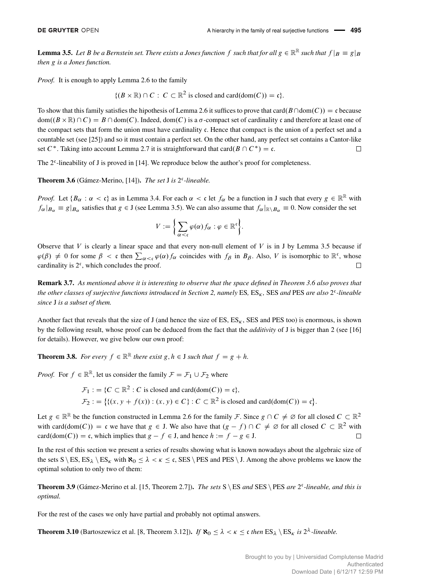<span id="page-9-1"></span>**Lemma 3.5.** Let B be a Bernstein set. There exists a Jones function f such that for all  $g \in \mathbb{R}^{\mathbb{R}}$  such that  $f|_B \equiv g|_B$ *then* g *is a Jones function.*

*Proof.* It is enough to apply Lemma [2.6](#page-4-2) to the family

 $\{(B \times \mathbb{R}) \cap C : C \subset \mathbb{R}^2 \text{ is closed and } \text{card}(\text{dom}(C)) = \mathfrak{c}\}.$ 

To show that this family satisfies the hipothesis of Lemma [2.6](#page-4-2) it suffices to prove that card $(B \cap \text{dom}(C)) = \mathfrak{c}$  because  $dom((B \times \mathbb{R}) \cap C) = B \cap dom(C)$ . Indeed,  $dom(C)$  is a  $\sigma$ -compact set of cardinality c and therefore at least one of the compact sets that form the union must have cardinality c. Hence that compact is the union of a perfect set and a countable set (see [\[25\]](#page-15-8)) and so it must contain a perfect set. On the other hand, any perfect set contains a Cantor-like set  $C^*$ . Taking into account Lemma [2.7](#page-4-0) it is straightforward that card $(B \cap C^*) = \mathfrak{c}$ .  $\Box$ 

The  $2<sup>c</sup>$ -lineability of J is proved in [\[14\]](#page-15-9). We reproduce below the author's proof for completeness.

<span id="page-9-0"></span>Theorem 3.6 (Gámez-Merino, [\[14\]](#page-15-9)). *The set J is*  $2<sup>c</sup>$ -lineable.

*Proof.* Let  $\{B_\alpha : \alpha < \mathfrak{c}\}\)$  as in Lemma [3.4.](#page-8-1) For each  $\alpha < \mathfrak{c}$  let  $f_\alpha$  be a function in J such that every  $g \in \mathbb{R}^{\mathbb{R}}$  with  $f_{\alpha}|_{B_{\alpha}} \equiv g|_{B_{\alpha}}$  satisfies that  $g \in J$  (see Lemma [3.5\)](#page-9-1). We can also assume that  $f_{\alpha}|_{\mathbb{R}\setminus B_{\alpha}} \equiv 0$ . Now consider the set

$$
V := \left\{ \sum_{\alpha < \mathfrak{c}} \varphi(\alpha) f_{\alpha} : \varphi \in \mathbb{R}^{\mathfrak{c}} \right\}.
$$

Observe that  $V$  is clearly a linear space and that every non-null element of  $V$  is in J by Lemma [3.5](#page-9-1) because if  $\varphi(\beta) \neq 0$  for some  $\beta < \mathfrak{c}$  then  $\sum_{\alpha < \mathfrak{c}} \varphi(\alpha) f_{\alpha}$  coincides with  $f_{\beta}$  in  $B_{\beta}$ . Also, V is isomorphic to  $\mathbb{R}^{\mathfrak{c}}$ , whose cardinality is  $2<sup>c</sup>$ , which concludes the proof.  $\Box$ 

Remark 3.7. *As mentioned above it is interesting to observe that the space defined in Theorem [3.6](#page-9-0) also proves that the other classes of surjective functions introduced in Section [2,](#page-1-0) namely* ES*,* ES*,* SES *and* PES *are also* 2 c *-lineable since* J *is a subset of them.*

Another fact that reveals that the size of J (and hence the size of ES,  $ES<sub>k</sub>$ , SES and PES too) is enormous, is shown by the following result, whose proof can be deduced from the fact that the *additivity* of J is bigger than 2 (see [\[16\]](#page-15-10) for details). However, we give below our own proof:

**Theorem 3.8.** *For every*  $f \in \mathbb{R}^{\mathbb{R}}$  *there exist*  $g, h \in J$  *such that*  $f = g + h$ *.* 

*Proof.* For  $f \in \mathbb{R}^{\mathbb{R}}$ , let us consider the family  $\mathcal{F} = \mathcal{F}_1 \cup \mathcal{F}_2$  where

$$
\mathcal{F}_1 := \{ C \subset \mathbb{R}^2 : C \text{ is closed and } \text{card}(\text{dom}(C)) = \mathfrak{c} \},
$$
  

$$
\mathcal{F}_2 := \{ \{ (x, y + f(x)) : (x, y) \in C \} : C \subset \mathbb{R}^2 \text{ is closed and } \text{card}(\text{dom}(C)) = \mathfrak{c} \}.
$$

Let  $g \in \mathbb{R}^{\mathbb{R}}$  be the function constructed in Lemma [2.6](#page-4-2) for the family F. Since  $g \cap C \neq \emptyset$  for all closed  $C \subset \mathbb{R}^2$ with card(dom(C)) = c we have that  $g \in J$ . We also have that  $(g - f) \cap C \neq \emptyset$  for all closed  $C \subset \mathbb{R}^2$  with card(dom(C)) = c, which implies that  $g - f \in J$ , and hence  $h := f - g \in J$ .  $\Box$ 

In the rest of this section we present a series of results showing what is known nowadays about the algebraic size of the sets  $S \ ES$ ,  $ES_A \ SES_K$  with  $\aleph_0 \leq \lambda < \kappa \leq c$ , SES | PES and PES | J. Among the above problems we know the optimal solution to only two of them:

**Theorem 3.9** (Gámez-Merino et al. [\[15,](#page-15-7) Theorem 2.7]). *The sets*  $S \ ES$  *and* SES  $\ PES$  *are*  $2^c$ -lineable, and this is *optimal.*

For the rest of the cases we only have partial and probably not optimal answers.

<span id="page-9-2"></span>**Theorem 3.10** (Bartoszewicz et al. [\[8,](#page-15-11) Theorem 3.12]). *If*  $\aleph_0 \leq \lambda < \kappa \leq \mathfrak{c}$  then  $\text{ES}_{\lambda} \setminus \text{ES}_{\kappa}$  is  $2^{\lambda}$ -lineable.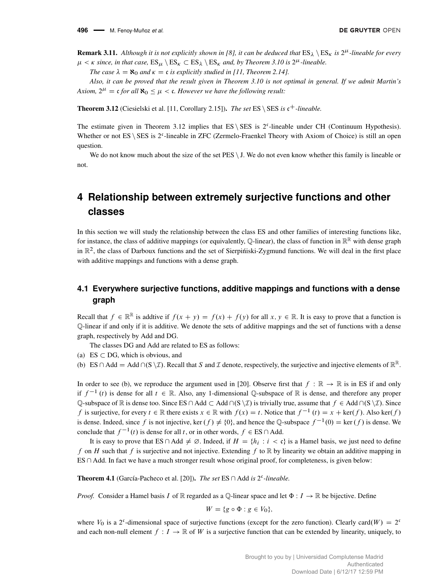**Remark 3.11.** Although it is not explicitly shown in [\[8\]](#page-15-11), it can be deduced that  $ES_\lambda \setminus ES_\kappa$  is  $2^\mu$ -lineable for every  $\mu < \kappa$  since, in that case,  $ES_{\mu} \setminus ES_{\kappa} \subset ES_{\lambda} \setminus ES_{\kappa}$  and, by Theorem [3.10](#page-9-2) is  $2^{\mu}$ -lineable.

*The case*  $\lambda = \mathbf{8}$  *and*  $\kappa = \mathbf{c}$  *is explicitly studied in [\[11,](#page-15-12) Theorem 2.14].* 

*Also, it can be proved that the result given in Theorem [3.10](#page-9-2) is not optimal in general. If we admit Martin's* Axiom,  $2^{\mu} = \mathfrak{c}$  *for all*  $\aleph_0 \leq \mu < \mathfrak{c}$ *. However we have the following result:* 

<span id="page-10-1"></span>**Theorem 3.12** (Ciesielski et al. [\[11,](#page-15-12) Corollary 2.15]). *The set* ES \ SES *is*  $c^+$ -lineable.

The estimate given in Theorem [3.12](#page-10-1) implies that  $ES \setminus SES$  is  $2<sup>c</sup>$ -lineable under CH (Continuum Hypothesis). Whether or not ES \ SES is 2<sup>c</sup>-lineable in ZFC (Zermelo-Fraenkel Theory with Axiom of Choice) is still an open question.

We do not know much about the size of the set  $PES \setminus J$ . We do not even know whether this family is lineable or not.

# <span id="page-10-0"></span>**4 Relationship between extremely surjective functions and other classes**

In this section we will study the relationship between the class ES and other families of interesting functions like, for instance, the class of additive mappings (or equivalently, Q-linear), the class of function in  $\mathbb{R}^{\mathbb{R}}$  with dense graph in  $\mathbb{R}^2$ , the class of Darboux functions and the set of Sierpintiski-Zygmund functions. We will deal in the first place with additive mappings and functions with a dense graph.

#### **4.1 Everywhere surjective functions, additive mappings and functions with a dense graph**

Recall that  $f \in \mathbb{R}^{\mathbb{R}}$  is addtive if  $f(x + y) = f(x) + f(y)$  for all  $x, y \in \mathbb{R}$ . It is easy to prove that a function is Q-linear if and only if it is additive. We denote the sets of additive mappings and the set of functions with a dense graph, respectively by Add and DG.

The classes DG and Add are related to ES as follows:

- (a) ES  $\subset$  DG, which is obvious, and
- (b) ES  $\cap$  Add = Add  $\cap$  (S  $\setminus \mathcal{I}$ ). Recall that S and I denote, respectively, the surjective and injective elements of  $\mathbb{R}^{\mathbb{R}}$ .

In order to see (b), we reproduce the argument used in [\[20\]](#page-15-13). Observe first that  $f : \mathbb{R} \to \mathbb{R}$  is in ES if and only if  $f^{-1}(t)$  is dense for all  $t \in \mathbb{R}$ . Also, any 1-dimensional Q-subspace of  $\mathbb{R}$  is dense, and therefore any proper Q-subspace of R is dense too. Since ES  $\cap$  Add  $\subset$  Add  $\cap$  (S  $\setminus \mathcal{I}$ ) is trivially true, assume that  $f \in Add \cap (S \setminus \mathcal{I})$ . Since f is surjective, for every  $t \in \mathbb{R}$  there exists  $x \in \mathbb{R}$  with  $f(x) = t$ . Notice that  $f^{-1}(t) = x + \text{ker}(f)$ . Also ker $(f)$ is dense. Indeed, since f is not injective, ker  $(f) \neq \{0\}$ , and hence the Q-subspace  $f^{-1}(0) = \text{ker}(f)$  is dense. We conclude that  $f^{-1}(t)$  is dense for all t, or in other words,  $f \in ES \cap Add$ .

It is easy to prove that ES  $\cap$  Add  $\neq \emptyset$ . Indeed, if  $H = \{h_i : i < \mathfrak{c}\}\$ is a Hamel basis, we just need to define f on H such that f is surjective and not injective. Extending f to  $\mathbb R$  by linearity we obtain an additive mapping in  $ES \cap Add$ . In fact we have a much stronger result whose original proof, for completeness, is given below:

<span id="page-10-2"></span>**Theorem 4.1** (García-Pacheco et al. [\[20\]](#page-15-13)). *The set*  $ES \cap Add$  *is*  $2<sup>c</sup>$ -*lineable.* 

*Proof.* Consider a Hamel basis I of R regarded as a Q-linear space and let  $\Phi: I \to \mathbb{R}$  be bijective. Define

$$
W = \{ g \circ \Phi : g \in V_0 \},
$$

where  $V_0$  is a 2<sup>c</sup>-dimensional space of surjective functions (except for the zero function). Clearly card(W) = 2<sup>c</sup> and each non-null element  $f: I \to \mathbb{R}$  of W is a surjective function that can be extended by linearity, uniquely, to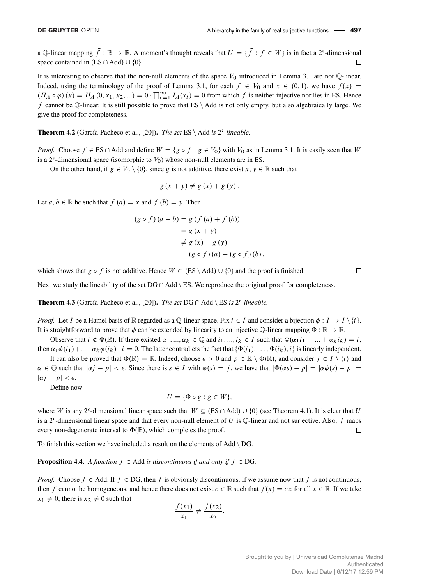a Q-linear mapping  $\bar{f} : \mathbb{R} \to \mathbb{R}$ . A moment's thought reveals that  $U = \{ \bar{f} : f \in W \}$  is in fact a 2<sup>c</sup>-dimensional space contained in  $(ES \cap Add) \cup \{0\}.$  $\Box$ 

It is interesting to observe that the non-null elements of the space  $V_0$  introduced in Lemma [3.1](#page-7-1) are not  $\mathbb{O}$ -linear. Indeed, using the terminology of the proof of Lemma [3.1,](#page-7-1) for each  $f \in V_0$  and  $x \in (0,1)$ , we have  $f(x) =$  $(H_A \circ \varphi)(x) = H_A (0, x_1, x_2, ...) = 0 \cdot \prod_{i=1}^{\infty} I_A(x_i) = 0$  from which f is neither injective nor lies in ES. Hence f cannot be Q-linear. It is still possible to prove that  $ES \setminus Add$  is not only empty, but also algebraically large. We give the proof for completeness.

**Theorem 4.2** (García-Pacheco et al., [\[20\]](#page-15-13)). *The set*  $ES \setminus Add$  *is*  $2<sup>c</sup>$ -*lineable.* 

*Proof.* Choose  $f \in ES \cap$  Add and define  $W = \{g \circ f : g \in V_0\}$  with  $V_0$  as in Lemma [3.1.](#page-7-1) It is easily seen that W is a  $2^{\mathfrak{c}}$ -dimensional space (isomorphic to  $V_0$ ) whose non-null elements are in ES.

On the other hand, if  $g \in V_0 \setminus \{0\}$ , since g is not additive, there exist  $x, y \in \mathbb{R}$  such that

$$
g(x + y) \neq g(x) + g(y).
$$

Let  $a, b \in \mathbb{R}$  be such that  $f (a) = x$  and  $f (b) = y$ . Then

$$
(g \circ f)(a + b) = g(f(a) + f(b))
$$
  

$$
= g(x + y)
$$
  

$$
\neq g(x) + g(y)
$$
  

$$
= (g \circ f)(a) + (g \circ f)(b),
$$

which shows that  $g \circ f$  is not additive. Hence  $W \subset (ES \setminus Add) \cup \{0\}$  and the proof is finished.

Next we study the lineability of the set  $DG \cap Add \setminus ES$ . We reproduce the original proof for completeness.

**Theorem 4.3** (García-Pacheco et al., [\[20\]](#page-15-13)). *The set*  $DG \cap Add \setminus ES$  *is* 2<sup>*c*</sup>-lineable.

*Proof.* Let I be a Hamel basis of R regarded as a Q-linear space. Fix  $i \in I$  and consider a bijection  $\phi : I \to I \setminus \{i\}$ . It is straightforward to prove that  $\phi$  can be extended by linearity to an injective Q-linear mapping  $\Phi : \mathbb{R} \to \mathbb{R}$ .

Observe that  $i \notin \Phi(\mathbb{R})$ . If there existed  $\alpha_1, ..., \alpha_k \in \mathbb{Q}$  and  $i_1, ..., i_k \in I$  such that  $\Phi(\alpha_1 i_1 + ... + \alpha_k i_k) = i$ , then  $\alpha_1\phi(i_1)+...+\alpha_k\phi(i_k)-i=0$ . The latter contradicts the fact that  $\{\Phi(i_1),...,\Phi(i_k),i\}$  is linearly independent.

It can also be proved that  $\overline{\Phi(\mathbb{R})} = \mathbb{R}$ . Indeed, choose  $\epsilon > 0$  and  $p \in \mathbb{R} \setminus \Phi(\mathbb{R})$ , and consider  $j \in I \setminus \{i\}$  and  $\alpha \in \mathbb{Q}$  such that  $|\alpha j - p| < \epsilon$ . Since there is  $s \in I$  with  $\phi(s) = j$ , we have that  $|\Phi(\alpha s) - p| = |\alpha \phi(s) - p|$ .  $|\alpha j - p| < \epsilon$ .

Define now

$$
U = \{ \Phi \circ g : g \in W \},
$$

where W is any 2<sup>c</sup>-dimensional linear space such that  $W \subseteq (ES \cap Add) \cup \{0\}$  (see Theorem [4.1\)](#page-10-2). It is clear that U is a 2<sup>c</sup>-dimensional linear space and that every non-null element of U is Q-linear and not surjective. Also, f maps every non-degenerate interval to  $\Phi(\mathbb{R})$ , which completes the proof.  $\Box$ 

To finish this section we have included a result on the elements of  $Add \ DG$ .

#### **Proposition 4.4.** *A function*  $f \in Add$  *is discontinuous if and only if*  $f \in DG$ *.*

*Proof.* Choose  $f \in Add$ . If  $f \in DG$ , then f is obviously discontinuous. If we assume now that f is not continuous, then f cannot be homogeneous, and hence there does not exist  $c \in \mathbb{R}$  such that  $f(x) = cx$  for all  $x \in \mathbb{R}$ . If we take  $x_1 \neq 0$ , there is  $x_2 \neq 0$  such that

$$
\frac{f(x_1)}{x_1} \neq \frac{f(x_2)}{x_2}.
$$

 $\Box$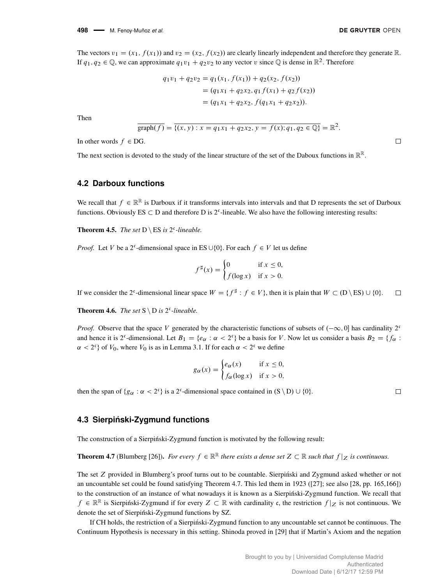$\Box$ 

 $\Box$ 

The vectors  $v_1 = (x_1, f(x_1))$  and  $v_2 = (x_2, f(x_2))$  are clearly linearly independent and therefore they generate R. If  $q_1, q_2 \in \mathbb{Q}$ , we can approximate  $q_1v_1 + q_2v_2$  to any vector v since  $\mathbb{Q}$  is dense in  $\mathbb{R}^2$ . Therefore

$$
q_1v_1 + q_2v_2 = q_1(x_1, f(x_1)) + q_2(x_2, f(x_2))
$$
  
=  $(q_1x_1 + q_2x_2, q_1f(x_1) + q_2f(x_2))$   
=  $(q_1x_1 + q_2x_2, f(q_1x_1 + q_2x_2)).$ 

Then

$$
\overline{\text{graph}(f)} = \overline{\{(x, y) : x = q_1x_1 + q_2x_2, y = f(x); q_1, q_2 \in \mathbb{Q}\}} = \mathbb{R}^2.
$$

In other words  $f \in DG$ .

The next section is devoted to the study of the linear structure of the set of the Daboux functions in  $\mathbb{R}^{\mathbb{R}}$ .

#### **4.2 Darboux functions**

We recall that  $f \in \mathbb{R}^{\mathbb{R}}$  is Darboux if it transforms intervals into intervals and that D represents the set of Darboux functions. Obviously  $ES \subset D$  and therefore D is  $2^c$ -lineable. We also have the following interesting results:

<span id="page-12-1"></span>**Theorem 4.5.** *The set*  $D \setminus ES$  *is* 2<sup>c</sup>-lineable.

*Proof.* Let V be a 2<sup>c</sup>-dimensional space in ES  $\cup$ {0}. For each  $f \in V$  let us define

$$
f^{\sharp}(x) = \begin{cases} 0 & \text{if } x \le 0, \\ f(\log x) & \text{if } x > 0. \end{cases}
$$

If we consider the 2<sup>c</sup>-dimensional linear space  $W = \{f^{\sharp} : f \in V\}$ , then it is plain that  $W \subset (D \setminus ES) \cup \{0\}$ .  $\Box$ 

<span id="page-12-2"></span>**Theorem 4.6.** *The set*  $S \ D$  *is*  $2^c$ -lineable.

*Proof.* Observe that the space V generated by the characteristic functions of subsets of  $(-\infty, 0]$  has cardinality 2<sup>o</sup> and hence it is 2<sup>c</sup>-dimensional. Let  $B_1 = \{e_\alpha : \alpha < 2^c\}$  be a basis for V. Now let us consider a basis  $B_2 = \{f_\alpha : \alpha < 2^c\}$  $\alpha < 2^c$  of  $V_0$ , where  $V_0$  is as in Lemma [3.1.](#page-7-1) If for each  $\alpha < 2^c$  we define

$$
g_{\alpha}(x) = \begin{cases} e_{\alpha}(x) & \text{if } x \leq 0, \\ f_{\alpha}(\log x) & \text{if } x > 0, \end{cases}
$$

then the span of  $\{g_\alpha : \alpha < 2^c\}$  is a 2<sup>c</sup>-dimensional space contained in  $(S \setminus D) \cup \{0\}$ .

#### **4.3 Sierpinski-Zygmund functions ´**

The construction of a Sierpiński-Zygmund function is motivated by the following result:

<span id="page-12-0"></span>**Theorem 4.7** (Blumberg [\[26\]](#page-15-14)). For every  $f \in \mathbb{R}^{\mathbb{R}}$  there exists a dense set  $Z \subset \mathbb{R}$  such that  $f|_Z$  is continuous.

The set Z provided in Blumberg's proof turns out to be countable. Sierpinski and Zygmund asked whether or not an uncountable set could be found satisfying Theorem [4.7.](#page-12-0) This led them in 1923 ([\[27\]](#page-15-15); see also [\[28,](#page-15-16) pp. 165,166]) to the construction of an instance of what nowadays it is known as a Sierpiński-Zygmund function. We recall that  $f \in \mathbb{R}^{\mathbb{R}}$  is Sierpinski-Zygmund if for every  $Z \subset \mathbb{R}$  with cardinality c, the restriction  $f|_Z$  is not continuous. We denote the set of Sierpiński-Zygmund functions by SZ.

If CH holds, the restriction of a Sierpinski-Zygmund function to any uncountable set cannot be continuous. The ´ Continuum Hypothesis is necessary in this setting. Shinoda proved in [\[29\]](#page-15-17) that if Martin's Axiom and the negation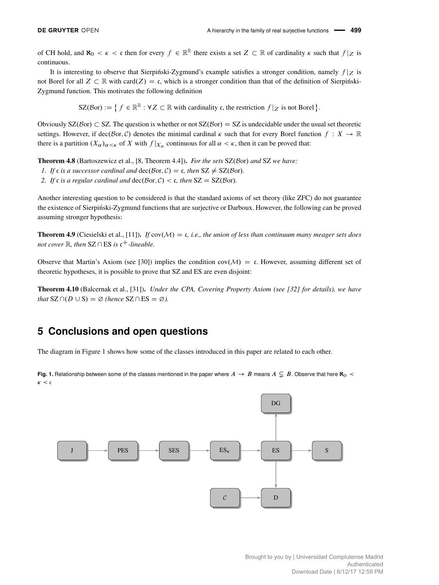of CH hold, and  $\aleph_0 < \kappa < \mathfrak{c}$  then for every  $f \in \mathbb{R}^{\mathbb{R}}$  there exists a set  $Z \subset \mathbb{R}$  of cardinality  $\kappa$  such that  $f|_Z$  is continuous.

It is interesting to observe that Sierpinski-Zygmund's example satisfies a stronger condition, namely  $f|z$  is not Borel for all  $Z \subset \mathbb{R}$  with card $(Z) = \mathfrak{c}$ , which is a stronger condition than that of the definition of Sierpinski-Zygmund function. This motivates the following definition

 $SZ(\mathcal{B}or) := \{ f \in \mathbb{R}^{\mathbb{R}} : \forall Z \subset \mathbb{R} \text{ with cardinality } \mathfrak{c}, \text{ the restriction } f|_Z \text{ is not Borel } \}.$ 

Obviously  $SZ(\beta or) \subset SZ$ . The question is whether or not  $SZ(\beta or) = SZ$  is undecidable under the usual set theoretic settings. However, if dec(Bor, C) denotes the minimal cardinal  $\kappa$  such that for every Borel function  $f: X \to \mathbb{R}$ there is a partition  $(X_\alpha)_{\alpha<\kappa}$  of X with  $f|_{X_\alpha}$  continuous for all  $\alpha<\kappa$ , then it can be proved that:

**Theorem 4.8** (Bartoszewicz et al., [\[8,](#page-15-11) Theorem 4.4]). *For the sets* SZ(Bor) and SZ we have:

- *1. If*  $\mathfrak{c}$  *is a successor cardinal and*  $\text{dec}(\mathcal{B}or, \mathcal{C}) = \mathfrak{c}$ *, then*  $SZ \neq SZ(\mathcal{B}or)$ *.*
- *2. If c is a regular cardinal and*  $\text{dec}(\mathcal{B}or, \mathcal{C}) < c$ *, then*  $SZ = SZ(\mathcal{B}or)$ *.*

Another interesting question to be considered is that the standard axioms of set theory (like ZFC) do not guarantee the existence of Sierpinski-Zygmund functions that are surjective or Darboux. However, the following can be proved ´ assuming stronger hypothesis:

**Theorem 4.9** (Ciesielski et al., [\[11\]](#page-15-12)). *If* cov $(M) = c$ , *i.e.*, *the union of less than continuum many meager sets does not cover*  $\mathbb{R}$ *, then*  $SZ \cap ES$  *is*  $c^+$ *-lineable.* 

Observe that Martin's Axiom (see [\[30\]](#page-15-18)) implies the condition  $cov(\mathcal{M}) = c$ . However, assuming different set of theoretic hypotheses, it is possible to prove that SZ and ES are even disjoint:

Theorem 4.10 (Balcernak et al., [\[31\]](#page-15-19)). *Under the CPA, Covering Property Axiom (see [\[32\]](#page-15-20) for details), we have that*  $SZ \cap (D \cup S) = \emptyset$  (*hence*  $SZ \cap ES = \emptyset$ *).* 

# **5 Conclusions and open questions**

The diagram in Figure [1](#page-13-0) shows how some of the classes introduced in this paper are related to each other.

<span id="page-13-0"></span>**Fig. 1.** Relationship between some of the classes mentioned in the paper where  $A \to B$  means  $A \subsetneq B$ . Observe that here  $\aleph_0$  <  $\kappa < c$ 

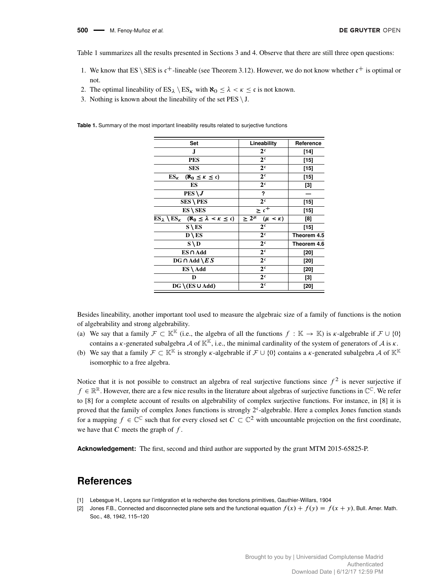Table [1](#page-14-2) summarizes all the results presented in Sections [3](#page-7-0) and [4.](#page-10-0) Observe that there are still three open questions:

- 1. We know that ES \ SES is  $c^+$ -lineable (see Theorem [3.12\)](#page-10-1). However, we do not know whether  $c^+$  is optimal or not.
- 2. The optimal lineability of  $ES_{\lambda} \setminus ES_{\kappa}$  with  $\aleph_0 < \lambda < \kappa < c$  is not known.
- 3. Nothing is known about the lineability of the set  $PES \setminus J$ .

<span id="page-14-2"></span>**Table 1.** Summary of the most important lineability results related to surjective functions

| Set                                                                              | Lineability                        | Reference   |
|----------------------------------------------------------------------------------|------------------------------------|-------------|
| J.                                                                               | 2 <sup>c</sup>                     | $[14]$      |
| <b>PES</b>                                                                       | 2 <sup>c</sup>                     | [15]        |
| <b>SES</b>                                                                       | 2 <sup>c</sup>                     | [15]        |
| $ES_{\kappa}$<br>$(\aleph_0 \leq \kappa \leq \mathfrak{c})$                      | 2 <sup>c</sup>                     | [15]        |
| ES                                                                               | 2 <sup>c</sup>                     | [3]         |
| $PES \setminus J$                                                                | ?                                  |             |
| $SES \setminus PES$                                                              | 2 <sup>c</sup>                     | $[15]$      |
| $ES \setminus SES$                                                               | $\geq c^{+}$                       | [15]        |
| $ES_{\lambda} \setminus ES_{\kappa}$ ( $\aleph_0 \leq \lambda < \kappa \leq c$ ) | $\geq 2^{\mu}$<br>$(\mu < \kappa)$ | [8]         |
| $S \setminus ES$                                                                 | 2 <sup>c</sup>                     | [15]        |
| $D \setminus ES$                                                                 | 2 <sup>c</sup>                     | Theorem 4.5 |
| $S \setminus D$                                                                  | 2 <sup>c</sup>                     | Theorem 4.6 |
| $ES \cap Add$                                                                    | 2 <sup>c</sup>                     | [20]        |
| $DG \cap Add \setminus ES$                                                       | 2 <sup>c</sup>                     | [20]        |
| $ES \setminus Add$                                                               | 2 <sup>c</sup>                     | [20]        |
| D                                                                                | 2 <sup>c</sup>                     | [3]         |
| $DG \setminus (ES \cup Add)$                                                     | 2 <sup>c</sup>                     | [20]        |

Besides lineability, another important tool used to measure the algebraic size of a family of functions is the notion of algebrability and strong algebrability.

- (a) We say that a family  $\mathcal{F} \subset \mathbb{K}^{\mathbb{K}}$  (i.e., the algebra of all the functions  $f : \mathbb{K} \to \mathbb{K}$ ) is  $\kappa$ -algebrable if  $\mathcal{F} \cup \{0\}$ contains a  $\kappa$ -generated subalgebra A of  $\mathbb{K}^{\mathbb{K}}$ , i.e., the minimal cardinality of the system of generators of A is  $\kappa$ .
- (b) We say that a family  $\mathcal{F} \subset \mathbb{K}^{\mathbb{K}}$  is strongly  $\kappa$ -algebrable if  $\mathcal{F} \cup \{0\}$  contains a  $\kappa$ -generated subalgebra A of  $\mathbb{K}^{\mathbb{K}}$ isomorphic to a free algebra.

Notice that it is not possible to construct an algebra of real surjective functions since  $f^2$  is never surjective if  $f \in \mathbb{R}^{\mathbb{R}}$ . However, there are a few nice results in the literature about algebras of surjective functions in  $\mathbb{C}^{\mathbb{C}}$ . We refer to [\[8\]](#page-15-11) for a complete account of results on algebrability of complex surjective functions. For instance, in [\[8\]](#page-15-11) it is proved that the family of complex Jones functions is strongly 2<sup>c</sup>-algebrable. Here a complex Jones function stands for a mapping  $f \in \mathbb{C}^{\mathbb{C}}$  such that for every closed set  $C \subset \mathbb{C}^2$  with uncountable projection on the first coordinate, we have that  $C$  meets the graph of  $f$ .

**Acknowledgement:** The first, second and third author are supported by the grant MTM 2015-65825-P.

## **References**

- <span id="page-14-0"></span>[1] Lebesgue H., Leçons sur l'intégration et la recherche des fonctions primitives, Gauthier-Willars, 1904
- <span id="page-14-1"></span>[2] Jones F.B., Connected and disconnected plane sets and the functional equation  $f(x) + f(y) = f(x + y)$ , Bull. Amer. Math. Soc., 48, 1942, 115–120